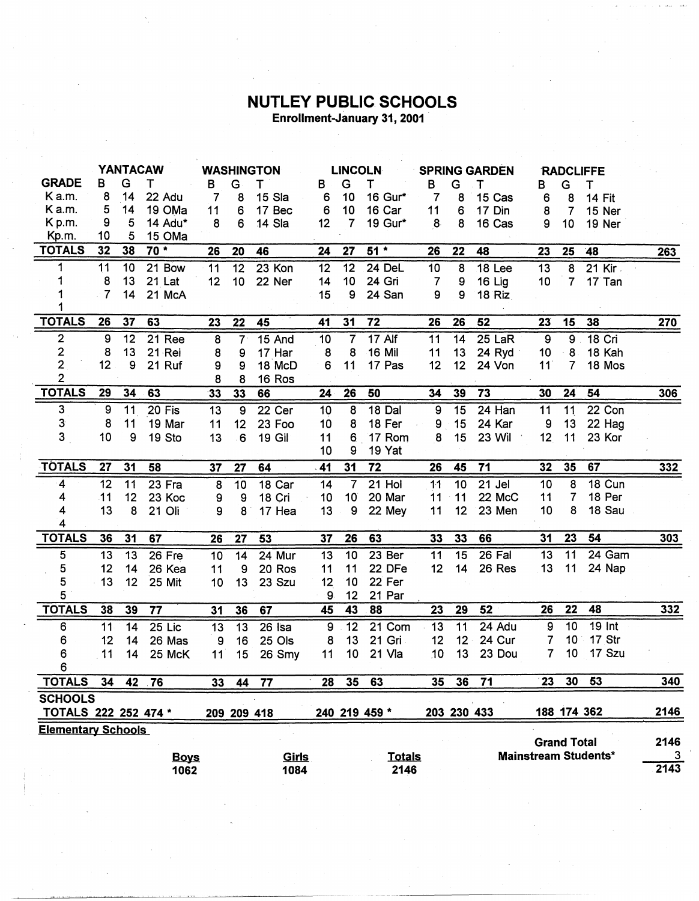## **NUTLEY PUBLIC SCHOOLS**<br>Enrollment-January 31, 2001

|                           | <b>YANTACAW</b> |    |          | <b>WASHINGTON</b> |                 |               | <b>LINCOLN</b> |                 |               | <b>SPRING GARDEN</b> |    |               | <b>RADCLIFFE</b> |                    |                             |            |
|---------------------------|-----------------|----|----------|-------------------|-----------------|---------------|----------------|-----------------|---------------|----------------------|----|---------------|------------------|--------------------|-----------------------------|------------|
| <b>GRADE</b>              | в               | G  | Т        | В                 | G               | т             | В              | G               | Τ             | в                    | G  | т             | в                | G                  | т                           |            |
| Ka.m.                     | 8               | 14 | 22 Adu   | 7                 | 8               | 15 Sla        | 6              | 10              | 16 Gur*       | 7                    | 8  | 15 Cas        | 6                | 8                  | <b>14 Fit</b>               |            |
| K a.m.                    | 5               | 14 | 19 OMa   | 11                | 6               | 17 Bec        | 6              | 10              | 16 Car        | 11                   | 6  | 17 Din        | 8                | 7                  | 15 Ner                      |            |
| K p.m.                    | 9               | 5  | 14 Adu*  | 8                 | 6               | 14 Sla        | 12             | $\overline{7}$  | 19 Gur*       | 8                    | 8  | 16 Cas        | 9                | 10                 | 19 Ner                      |            |
| Kp.m.                     | 10              | 5  | 15 OMa   |                   |                 |               |                |                 |               |                      |    |               |                  |                    |                             |            |
| <b>TOTALS</b>             | 32              | 38 | $70*$    | 26                | 20              | 46            | 24             | 27              | $51*$         | 26                   | 22 | 48            | 23               | 25                 | 48                          | 263        |
| 1                         | 11              | 10 | 21 Bow   | 11                | 12              | $23$ Kon      | 12             | $\overline{12}$ | 24 DeL        | 10                   | 8  | 18 Lee        | 13               | $\overline{8}$     | $21$ Kir                    |            |
| 1                         | 8               | 13 | 21 Lat   | 12                | 10 <sub>1</sub> | 22 Ner        | 14             | 10              | 24 Gri        | $\overline{7}$       | 9  | 16 Lig        | 10               | $\overline{7}$     | 17 Tan                      |            |
| 1                         | 7               | 14 | 21 McA   |                   |                 |               | 15             | 9               | 24 San        | 9                    | 9  | <b>18 Riz</b> |                  |                    |                             |            |
| 1                         |                 |    |          |                   |                 |               |                |                 |               |                      |    |               |                  |                    |                             |            |
| <b>TOTALS</b>             | 26              | 37 | 63       | 23                | 22              | 45            | 41             | 31              | 72            | 26                   | 26 | 52            | 23               | 15                 | 38                          | 270        |
| $\mathbf{2}$              | 9               | 12 | 21 Ree   | 8                 | $7^{\circ}$     | 15 And        | 10             | 7               | 17 Alf        | 11                   | 14 | 25 LaR        | 9                | 9 <sub>1</sub>     | 18 Cri                      |            |
|                           | 8               | 13 | 21 Rei   | 8                 | 9               | 17 Har        | 8              | 8               | 16 Mil        | 11                   | 13 | 24 Ryd        | 10               | 8                  | 18 Kah                      |            |
| $\frac{2}{2}$             | 12              | 9  | 21 Ruf   | 9                 | 9               | 18 McD        | 6              | 11              | 17 Pas        | 12                   | 12 | 24 Von        | 11               | 7                  | 18 Mos                      |            |
| $\overline{2}$            |                 |    |          | 8                 | 8               | 16 Ros        |                |                 |               |                      |    |               |                  |                    |                             |            |
| <b>TOTALS</b>             | 29              | 34 | 63       | 33                | 33              | 66            | $24 -$         | 26              | 50            | 34                   | 39 | 73            | 30               | 24                 | 54                          | 306        |
| 3                         | 9               | 11 | 20 Fis   | 13                | 9               | 22 Cer        | 10             | $\overline{8}$  | <b>18 Dal</b> | $\overline{9}$       | 15 | 24 Han        | $\overline{11}$  | 11                 | 22 Con                      |            |
| $3\phantom{a}$            | 8               | 11 | 19 Mar   | 11                | 12              | 23 Foo        | 10             | 8               | 18 Fer        | 9                    | 15 | 24 Kar        | 9                | 13                 | 22 Hag                      |            |
| 3                         | 10              | 9  | 19 Sto   | 13                | 6               | <b>19 Gil</b> | 11             | 6               | 17 Rom        | 8                    | 15 | <b>23 Wil</b> | 12               | 11                 | 23 Kor                      |            |
|                           |                 |    |          |                   |                 |               | 10             | 9               | 19 Yat        |                      |    |               |                  |                    |                             |            |
| <b>TOTALS</b>             | 27              | 31 | 58       |                   |                 |               |                | 31              | 72            |                      |    | 71            | 32               | 35                 | 67                          |            |
|                           |                 |    |          | 37                | 27              | 64            | .41            |                 |               | 26                   | 45 |               |                  |                    |                             | <u>332</u> |
| 4                         | 12              | 11 | 23 Fra   | 8                 | 10              | 18 Car        | 14             | $\overline{7}$  | $21$ Hol      | $\overline{11}$      | 10 | $21$ Jel      | 10               | 8                  | <b>18 Cun</b>               |            |
| 4                         | 11              | 12 | 23 Koc   | 9                 | 9               | 18 Cri        | 10             | 10 <sup>°</sup> | 20 Mar        | 11                   | 11 | 22 McC        | 11               | 7                  | 18 Per                      |            |
| 4                         | 13              | 8  | 21 Oli   | 9                 | 8               | 17 Hea        | 13             | 9               | 22 Mey        | 11                   | 12 | 23 Men        | 10               | 8                  | 18 Sau                      |            |
| 4                         |                 |    |          |                   |                 |               |                |                 |               |                      |    |               |                  |                    |                             |            |
| <b>TOTALS</b>             | 36              | 31 | 67       | 26                | 27              | 53            | 37             | 26              | 63            | 33                   | 33 | 66            | 31               | 23                 | 54                          | 303        |
| 5                         | 13              | 13 | 26 Fre   | 10                | 14              | 24 Mur        | 13             | 10              | 23 Ber        | 11                   | 15 | 26 Fal        | 13               | 11                 | 24 Gam                      |            |
| 5                         | 12              | 14 | 26 Kea   | 11                | 9               | 20 Ros        | 11             | 11              | 22 DFe        | 12                   | 14 | 26 Res        | 13               | 11                 | 24 Nap                      |            |
| 5                         | 13              | 12 | 25 Mit   | 10                | 13              | 23 Szu        | 12             | 10              | 22 Fer        |                      |    |               |                  |                    |                             |            |
| 5                         |                 |    |          |                   |                 |               | 9              | 12              | 21 Par        |                      |    |               |                  |                    |                             |            |
| <b>TOTALS</b>             | 38              | 39 | 77       | 31                | 36              | 67            | 45             | 43              | 88            | 23                   | 29 | 52            | 26               | 22                 | 48                          | 332        |
| 6                         | 11              | 14 | $25$ Lic | 13                | $\overline{13}$ | 26 Isa        | 9              | $\overline{12}$ | 21 Com        | 13                   | 11 | 24 Adu        | 9                | 10                 | $19$ Int                    |            |
| 6                         | 12              | 14 | 26 Mas   | 9                 | 16              | 25 Ols        | 8              | 13              | 21 Gri        | 12                   | 12 | 24 Cur        | 7                | 10                 | 17 Str                      |            |
| 6                         | 11              | 14 | 25 McK   | 11                | 15              | 26 Smy        | 11             | 10              | 21 Vla        | 10                   | 13 | 23 Dou        | 7                | 10                 | 17 Szu                      |            |
| 6                         |                 |    |          |                   |                 |               |                |                 |               |                      |    |               |                  |                    |                             |            |
| <b>TOTALS</b>             | 34              |    | 42 76    | 33                | 44              | 77            | 28             | 35              | 63            | 35                   | 36 | 71            | 23               | 30 <sub>°</sub>    | 53                          | 340        |
| <b>SCHOOLS</b>            |                 |    |          |                   |                 |               |                |                 |               |                      |    |               |                  |                    |                             |            |
| TOTALS 222 252 474 *      |                 |    |          |                   |                 | 209 209 418   |                |                 | 240 219 459 * |                      |    | 203 230 433   |                  | 188 174 362        |                             | 2146       |
| <b>Elementary Schools</b> |                 |    |          |                   |                 |               |                |                 |               |                      |    |               |                  |                    |                             |            |
|                           |                 |    |          |                   |                 |               |                |                 |               |                      |    |               |                  | <b>Grand Total</b> |                             | 2146       |
| Girls<br><b>Boys</b>      |                 |    |          |                   |                 |               |                |                 | <b>Totals</b> |                      |    |               |                  |                    | <b>Mainstream Students*</b> | 3          |
|                           |                 |    | 1022     |                   |                 | 1084          |                |                 | 2146          |                      |    |               |                  |                    |                             | 2143       |